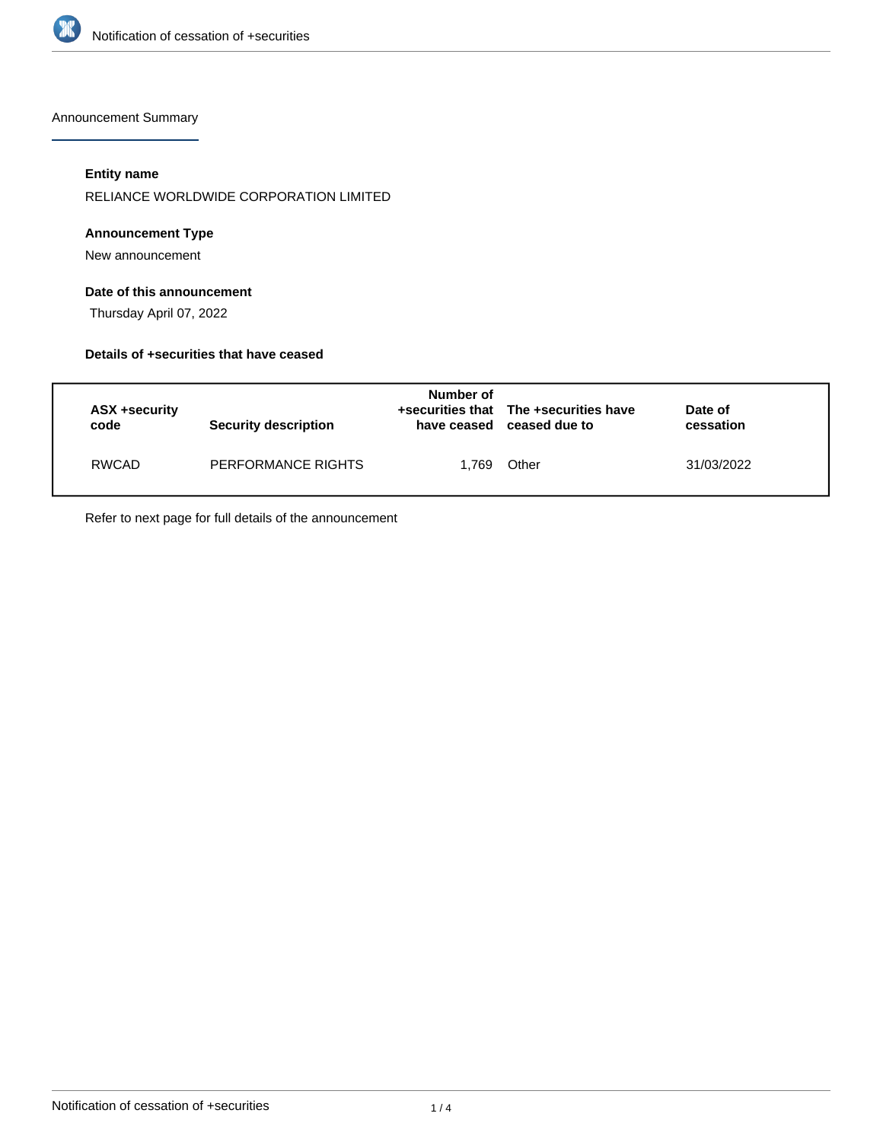

Announcement Summary

## **Entity name**

RELIANCE WORLDWIDE CORPORATION LIMITED

## **Announcement Type**

New announcement

## **Date of this announcement**

Thursday April 07, 2022

#### **Details of +securities that have ceased**

| ASX +security<br>code | <b>Security description</b> | Number of<br>have ceased | +securities that The +securities have<br>ceased due to | Date of<br>cessation |
|-----------------------|-----------------------------|--------------------------|--------------------------------------------------------|----------------------|
| RWCAD                 | PERFORMANCE RIGHTS          | 1.769                    | Other                                                  | 31/03/2022           |

Refer to next page for full details of the announcement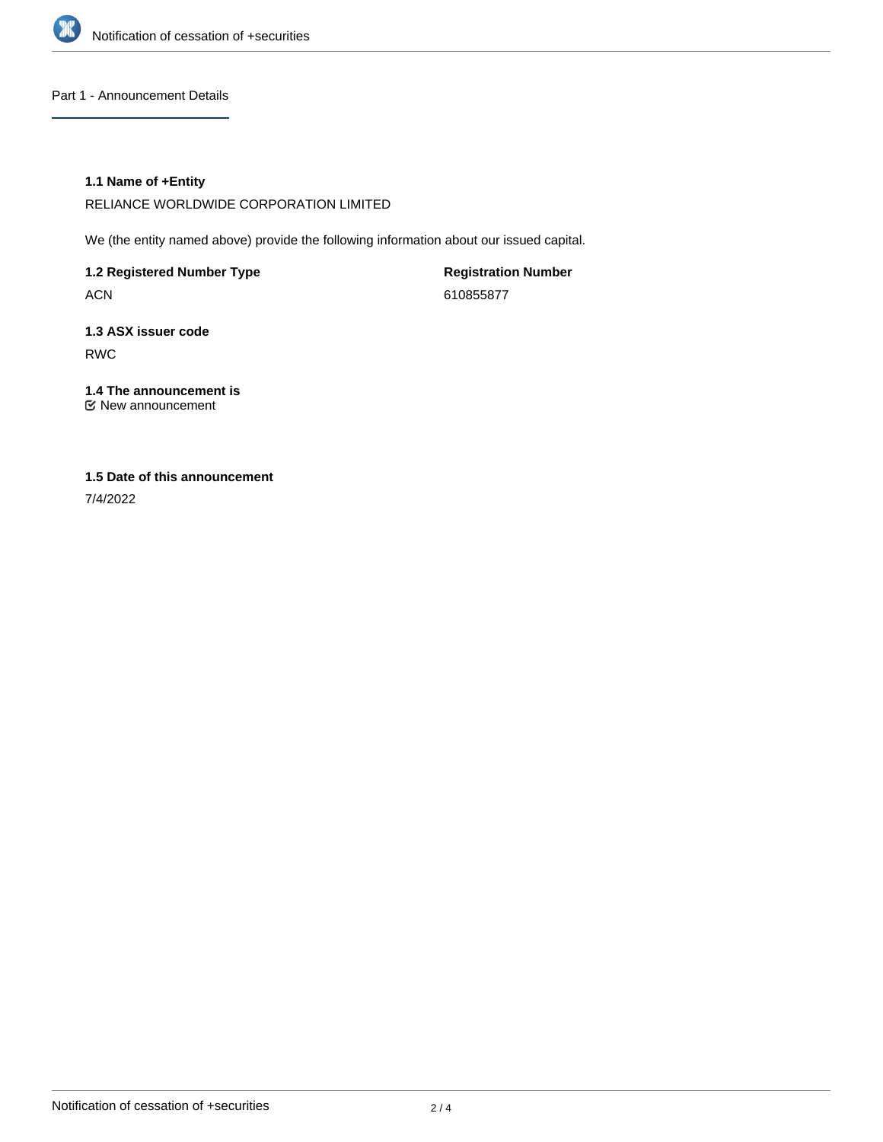

## Part 1 - Announcement Details

## **1.1 Name of +Entity**

RELIANCE WORLDWIDE CORPORATION LIMITED

We (the entity named above) provide the following information about our issued capital.

**1.2 Registered Number Type** ACN

**Registration Number** 610855877

**1.3 ASX issuer code** RWC

**1.4 The announcement is** New announcement

## **1.5 Date of this announcement**

7/4/2022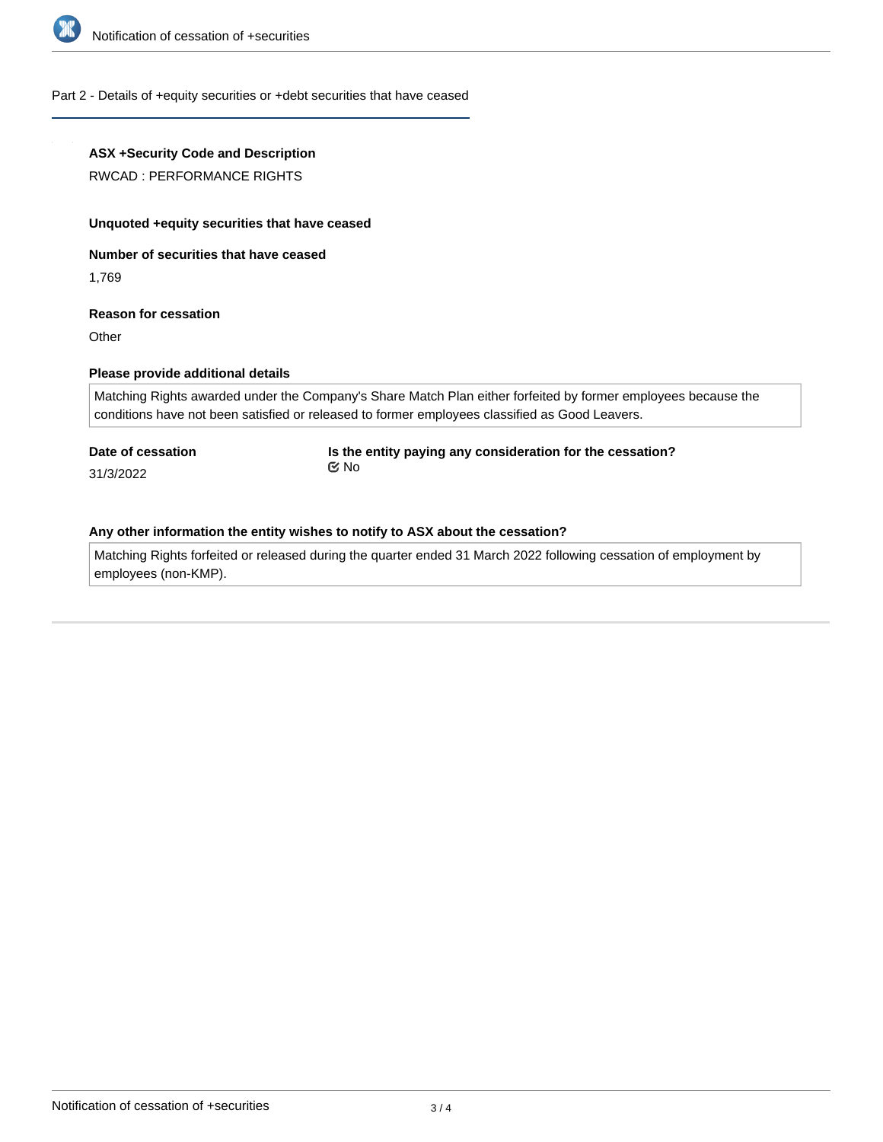

#### Part 2 - Details of +equity securities or +debt securities that have ceased

## **ASX +Security Code and Description**

RWCAD : PERFORMANCE RIGHTS

#### **Unquoted +equity securities that have ceased**

**Number of securities that have ceased**

1,769

#### **Reason for cessation**

**Other** 

## **Please provide additional details**

Matching Rights awarded under the Company's Share Match Plan either forfeited by former employees because the conditions have not been satisfied or released to former employees classified as Good Leavers.

# **Date of cessation**

31/3/2022

**Is the entity paying any consideration for the cessation?** No

#### **Any other information the entity wishes to notify to ASX about the cessation?**

Matching Rights forfeited or released during the quarter ended 31 March 2022 following cessation of employment by employees (non-KMP).